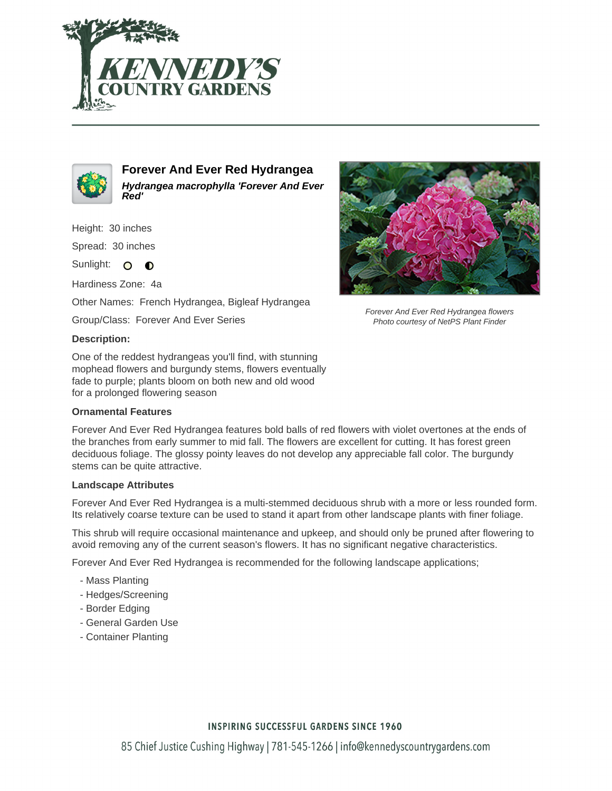



**Forever And Ever Red Hydrangea Hydrangea macrophylla 'Forever And Ever Red'**

Height: 30 inches

Spread: 30 inches

Sunlight: O **O** 

Hardiness Zone: 4a

Other Names: French Hydrangea, Bigleaf Hydrangea

Group/Class: Forever And Ever Series

#### **Description:**

One of the reddest hydrangeas you'll find, with stunning mophead flowers and burgundy stems, flowers eventually fade to purple; plants bloom on both new and old wood for a prolonged flowering season

### **Ornamental Features**



Forever And Ever Red Hydrangea flowers Photo courtesy of NetPS Plant Finder

Forever And Ever Red Hydrangea features bold balls of red flowers with violet overtones at the ends of the branches from early summer to mid fall. The flowers are excellent for cutting. It has forest green deciduous foliage. The glossy pointy leaves do not develop any appreciable fall color. The burgundy stems can be quite attractive.

#### **Landscape Attributes**

Forever And Ever Red Hydrangea is a multi-stemmed deciduous shrub with a more or less rounded form. Its relatively coarse texture can be used to stand it apart from other landscape plants with finer foliage.

This shrub will require occasional maintenance and upkeep, and should only be pruned after flowering to avoid removing any of the current season's flowers. It has no significant negative characteristics.

Forever And Ever Red Hydrangea is recommended for the following landscape applications;

- Mass Planting
- Hedges/Screening
- Border Edging
- General Garden Use
- Container Planting

## **INSPIRING SUCCESSFUL GARDENS SINCE 1960**